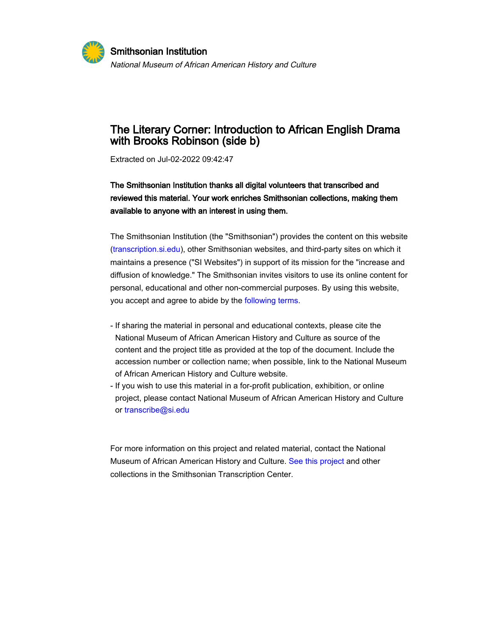

# The Literary Corner: Introduction to African English Drama with Brooks Robinson (side b)

Extracted on Jul-02-2022 09:42:47

## The Smithsonian Institution thanks all digital volunteers that transcribed and reviewed this material. Your work enriches Smithsonian collections, making them available to anyone with an interest in using them.

The Smithsonian Institution (the "Smithsonian") provides the content on this website ([transcription.si.edu\)](https://transcription.si.edu), other Smithsonian websites, and third-party sites on which it maintains a presence ("SI Websites") in support of its mission for the "increase and diffusion of knowledge." The Smithsonian invites visitors to use its online content for personal, educational and other non-commercial purposes. By using this website, you accept and agree to abide by the [following terms](https://www.si.edu/termsofuse).

- If sharing the material in personal and educational contexts, please cite the National Museum of African American History and Culture as source of the content and the project title as provided at the top of the document. Include the accession number or collection name; when possible, link to the National Museum of African American History and Culture website.
- If you wish to use this material in a for-profit publication, exhibition, or online project, please contact National Museum of African American History and Culture or [transcribe@si.edu](mailto:transcribe@si.edu)

For more information on this project and related material, contact the National Museum of African American History and Culture. [See this project](https://transcription.si.edu/project/35357) and other collections in the Smithsonian Transcription Center.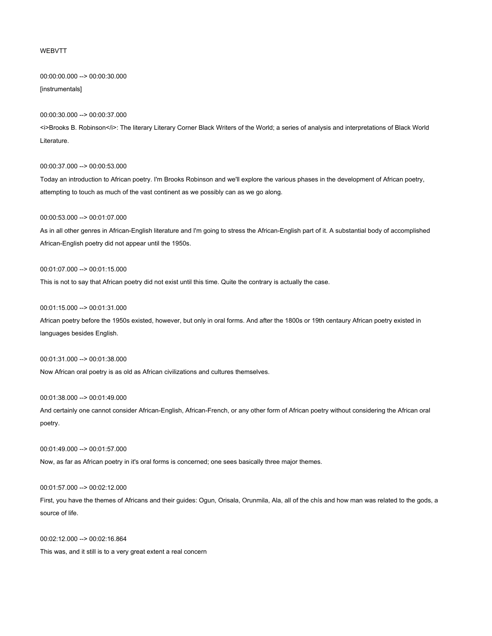#### WEBVTT

00:00:00.000 --> 00:00:30.000 [instrumentals]

## 00:00:30.000 --> 00:00:37.000

<i>Brooks B. Robinson</i>: The literary Literary Corner Black Writers of the World; a series of analysis and interpretations of Black World Literature.

#### 00:00:37.000 --> 00:00:53.000

Today an introduction to African poetry. I'm Brooks Robinson and we'll explore the various phases in the development of African poetry, attempting to touch as much of the vast continent as we possibly can as we go along.

## 00:00:53.000 --> 00:01:07.000

As in all other genres in African-English literature and I'm going to stress the African-English part of it. A substantial body of accomplished African-English poetry did not appear until the 1950s.

#### 00:01:07.000 --> 00:01:15.000

This is not to say that African poetry did not exist until this time. Quite the contrary is actually the case.

#### 00:01:15.000 --> 00:01:31.000

African poetry before the 1950s existed, however, but only in oral forms. And after the 1800s or 19th centaury African poetry existed in languages besides English.

## 00:01:31.000 --> 00:01:38.000

Now African oral poetry is as old as African civilizations and cultures themselves.

## 00:01:38.000 --> 00:01:49.000

And certainly one cannot consider African-English, African-French, or any other form of African poetry without considering the African oral poetry.

#### 00:01:49.000 --> 00:01:57.000

Now, as far as African poetry in it's oral forms is concerned; one sees basically three major themes.

#### 00:01:57.000 --> 00:02:12.000

First, you have the themes of Africans and their guides: Ogun, Orisala, Orunmila, Ala, all of the chís and how man was related to the gods, a source of life.

00:02:12.000 --> 00:02:16.864 This was, and it still is to a very great extent a real concern